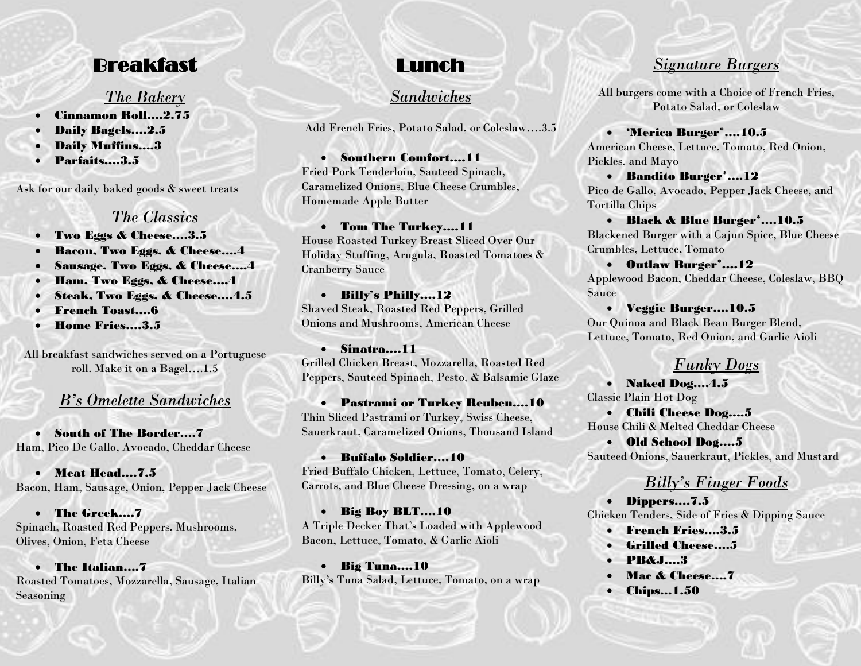## Breakfast

#### *The Bakery*

- Cinnamon Roll….2.75
- Daily Bagels….2.5
- Daily Muffins….3
- Parfaits….3.5

Ask for our daily baked goods & sweet treats

### *The Classics*

- Two Eggs & Cheese….3.5
- Bacon, Two Eggs, & Cheese….4
- Sausage, Two Eggs, & Cheese....4
- Ham, Two Eggs, & Cheese….4
- Steak, Two Eggs, & Cheese....4.5
- French Toast….6
- Home Fries….3.5

All breakfast sandwiches served on a Portuguese roll. Make it on a Bagel….1.5

## *B's Omelette Sandwiches*

• South of The Border….7 Ham, Pico De Gallo, Avocado, Cheddar Cheese

• Meat Head….7.5 Bacon, Ham, Sausage, Onion, Pepper Jack Cheese

• The Greek….7 Spinach, Roasted Red Peppers, Mushrooms, Olives, Onion, Feta Cheese

• The Italian….7 Roasted Tomatoes, Mozzarella, Sausage, Italian Seasoning

# Lunch

## *Sandwiches*

Add French Fries, Potato Salad, or Coleslaw….3.5 

• Southern Comfort….11 Fried Pork Tenderloin, Sauteed Spinach, Caramelized Onions, Blue Cheese Crumbles, Homemade Apple Butter

#### • Tom The Turkey….11

House Roasted Turkey Breast Sliced Over Our Holiday Stuffing, Arugula, Roasted Tomatoes & Cranberry Sauce

• Billy's Philly….12 Shaved Steak, Roasted Red Peppers, Grilled Onions and Mushrooms, American Cheese

• Sinatra….11 Grilled Chicken Breast, Mozzarella, Roasted Red Peppers, Sauteed Spinach, Pesto, & Balsamic Glaze

• Pastrami or Turkey Reuben….10 Thin Sliced Pastrami or Turkey, Swiss Cheese, Sauerkraut, Caramelized Onions, Thousand Island

• Buffalo Soldier….10 Fried Buffalo Chicken, Lettuce, Tomato, Celery, Carrots, and Blue Cheese Dressing, on a wrap

• Big Boy BLT….10 A Triple Decker That's Loaded with Applewood Bacon, Lettuce, Tomato, & Garlic Aioli

• Big Tuna….10 Billy's Tuna Salad, Lettuce, Tomato, on a wrap

### *Signature Burgers*

All burgers come with a Choice of French Fries, Potato Salad, or Coleslaw

• 'Merica Burger\*….10.5 American Cheese, Lettuce, Tomato, Red Onion, Pickles, and Mayo

• Bandito Burger\*….12 Pico de Gallo, Avocado, Pepper Jack Cheese, and Tortilla Chips

• Black & Blue Burger\*….10.5 Blackened Burger with a Cajun Spice, Blue Cheese Crumbles, Lettuce, Tomato

• Outlaw Burger\*….12 Applewood Bacon, Cheddar Cheese, Coleslaw, BBQ Sauce

• Veggie Burger….10.5 Our Quinoa and Black Bean Burger Blend, Lettuce, Tomato, Red Onion, and Garlic Aioli

#### *Funky Dogs*

• Naked Dog….4.5 Classic Plain Hot Dog

• Chili Cheese Dog….5 House Chili & Melted Cheddar Cheese

• Old School Dog….5 Sauteed Onions, Sauerkraut, Pickles, and Mustard

## *Billy's Finger Foods*

• Dippers….7.5 Chicken Tenders, Side of Fries & Dipping Sauce

- French Fries….3.5
- Grilled Cheese….5
- PB&J….3
- Mac & Cheese....7
- Chips…1.50